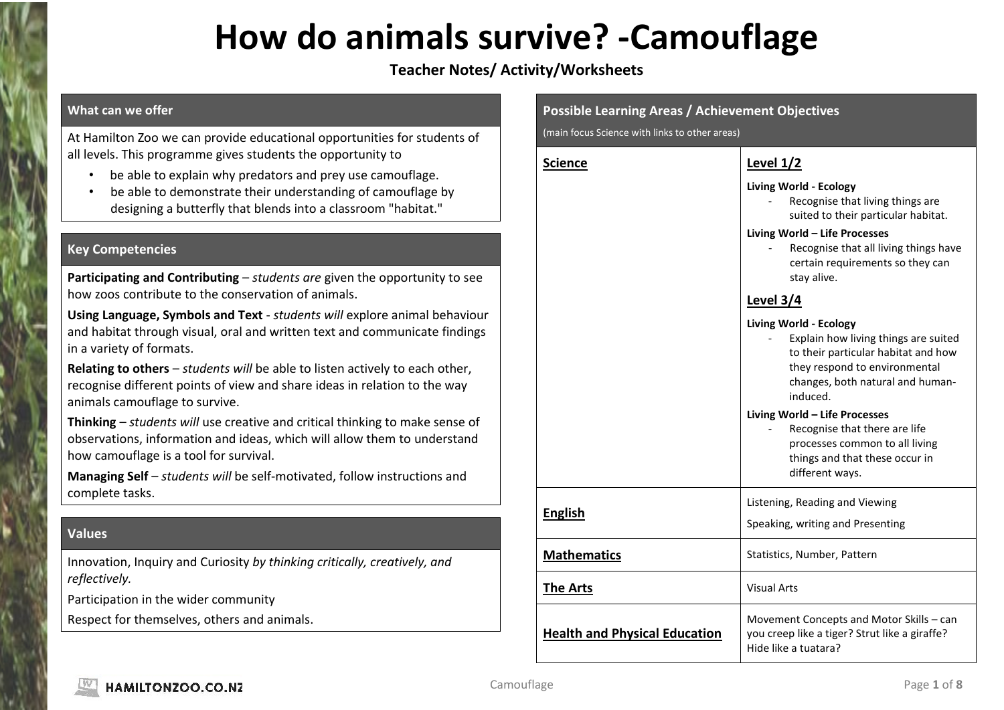### **How do animals survive? -Camouflage**

### **Teacher Notes/ Activity/Worksheets**

#### **What can we offer**

At Hamilton Zoo we can provide educational opportunities for students of all levels. This programme gives students the opportunity to

- be able to explain why predators and prey use camouflage.
- be able to demonstrate their understanding of camouflage by designing a butterfly that blends into a classroom "habitat."

#### **Key Competencies**

**Participating and Contributing** – *students are* given the opportunity to see how zoos contribute to the conservation of animals.

**Using Language, Symbols and Text** - *students will* explore animal behaviour and habitat through visual, oral and written text and communicate findings in a variety of formats.

**Relating to others** – *students will* be able to listen actively to each other, recognise different points of view and share ideas in relation to the way animals camouflage to survive.

**Thinking** – *students will* use creative and critical thinking to make sense of observations, information and ideas, which will allow them to understand how camouflage is a tool for survival.

**Managing Self** – *students will* be self-motivated, follow instructions and complete tasks.

#### **Values**

Innovation, Inquiry and Curiosity *by thinking critically, creatively, and reflectively.*

Participation in the wider community

Respect for themselves, others and animals.

| <b>Possible Learning Areas / Achievement Objectives</b> |                                                                                                                                                                                                                                       |
|---------------------------------------------------------|---------------------------------------------------------------------------------------------------------------------------------------------------------------------------------------------------------------------------------------|
| (main focus Science with links to other areas)          |                                                                                                                                                                                                                                       |
| <b>Science</b>                                          | <b>Level 1/2</b>                                                                                                                                                                                                                      |
|                                                         | <b>Living World - Ecology</b><br>Recognise that living things are<br>suited to their particular habitat.<br>Living World - Life Processes<br>Recognise that all living things have<br>certain requirements so they can<br>stay alive. |
|                                                         | Level $3/4$                                                                                                                                                                                                                           |
|                                                         | <b>Living World - Ecology</b><br>Explain how living things are suited<br>to their particular habitat and how<br>they respond to environmental<br>changes, both natural and human-<br>induced.                                         |
|                                                         | Living World - Life Processes<br>Recognise that there are life<br>processes common to all living<br>things and that these occur in<br>different ways.                                                                                 |
| <b>English</b>                                          | Listening, Reading and Viewing<br>Speaking, writing and Presenting                                                                                                                                                                    |
| <b>Mathematics</b>                                      | Statistics, Number, Pattern                                                                                                                                                                                                           |
| <b>The Arts</b>                                         | <b>Visual Arts</b>                                                                                                                                                                                                                    |
| <b>Health and Physical Education</b>                    | Movement Concepts and Motor Skills - can<br>you creep like a tiger? Strut like a giraffe?<br>Hide like a tuatara?                                                                                                                     |

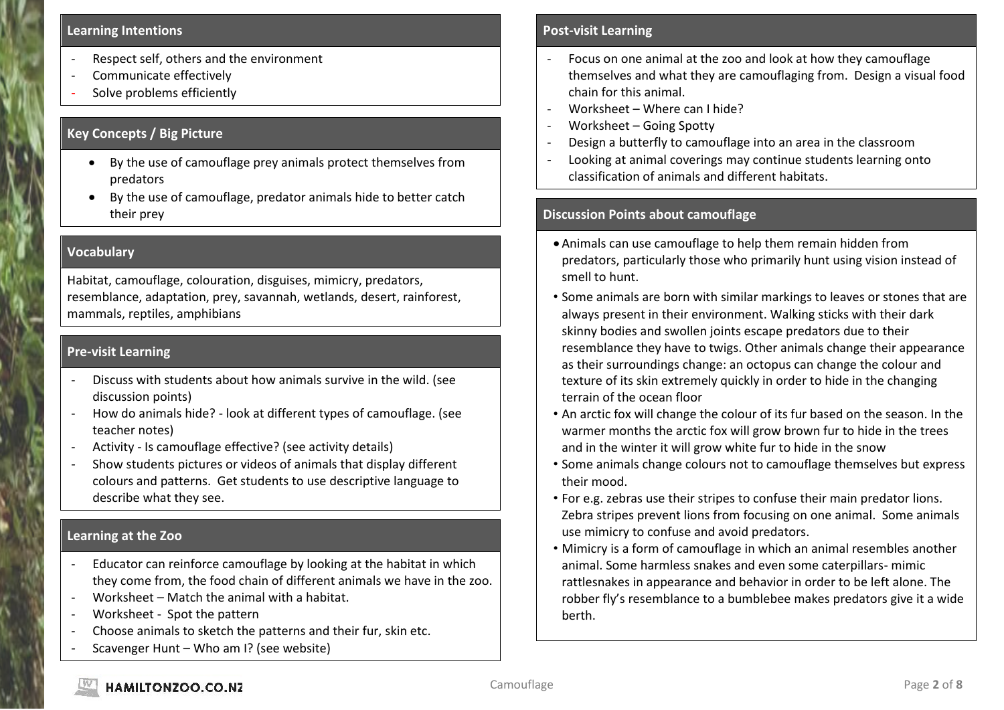#### **Learning Intentions**

- Respect self, others and the environment
- Communicate effectively
- Solve problems efficiently

#### **Key Concepts / Big Picture**

- By the use of camouflage prey animals protect themselves from predators
- By the use of camouflage, predator animals hide to better catch their prey

#### **Vocabulary**

Habitat, camouflage, colouration, disguises, mimicry, predators, resemblance, adaptation, prey, savannah, wetlands, desert, rainforest, mammals, reptiles, amphibians

#### **Pre-visit Learning**

- Discuss with students about how animals survive in the wild. (see discussion points)
- How do animals hide? look at different types of camouflage. (see teacher notes)
- Activity Is camouflage effective? (see activity details)
- Show students pictures or videos of animals that display different colours and patterns. Get students to use descriptive language to describe what they see.

#### **Learning at the Zoo**

- Educator can reinforce camouflage by looking at the habitat in which they come from, the food chain of different animals we have in the zoo.
- Worksheet Match the animal with a habitat.
- Worksheet Spot the pattern
- Choose animals to sketch the patterns and their fur, skin etc.
- Scavenger Hunt Who am I? (see website)

#### **Post-visit Learning**

- Focus on one animal at the zoo and look at how they camouflage themselves and what they are camouflaging from. Design a visual food chain for this animal.
- Worksheet Where can I hide?
- Worksheet Going Spotty
- Design a butterfly to camouflage into an area in the classroom
- Looking at animal coverings may continue students learning onto classification of animals and different habitats.

#### **Discussion Points about camouflage**

- Animals can use camouflage to help them remain hidden from predators, particularly those who primarily hunt using vision instead of smell to hunt.
- Some animals are born with similar markings to leaves or stones that are always present in their environment. Walking sticks with their dark skinny bodies and swollen joints escape predators due to their resemblance they have to twigs. Other animals change their appearance as their surroundings change: an octopus can change the colour and texture of its skin extremely quickly in order to hide in the changing terrain of the ocean floor
- An arctic fox will change the colour of its fur based on the season. In the warmer months the arctic fox will grow brown fur to hide in the trees and in the winter it will grow white fur to hide in the snow
- Some animals change colours not to camouflage themselves but express their mood.
- For e.g. zebras use their stripes to confuse their main predator lions. Zebra stripes prevent lions from focusing on one animal. Some animals use mimicry to confuse and avoid predators.
- Mimicry is a form of camouflage in which an animal resembles another animal. Some harmless snakes and even some caterpillars- mimic rattlesnakes in appearance and behavior in order to be left alone. The robber fly's resemblance to a bumblebee makes predators give it a wide berth.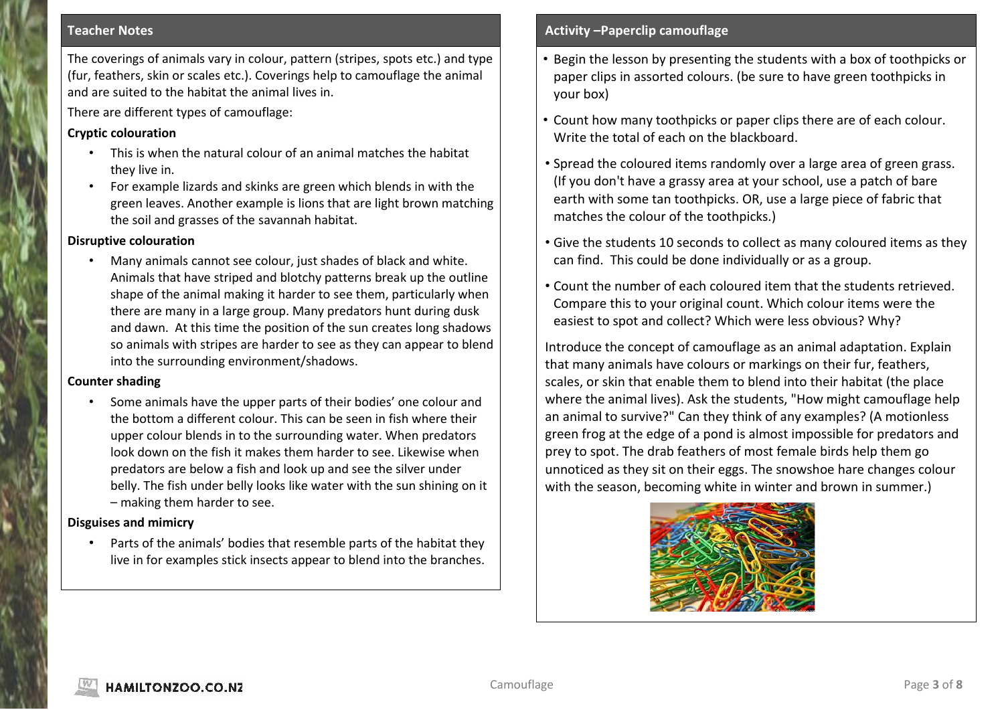#### **Teacher Notes**

The coverings of animals vary in colour, pattern (stripes, spots etc.) and type (fur, feathers, skin or scales etc.). Coverings help to camouflage the animal and are suited to the habitat the animal lives in.

There are different types of camouflage:

#### **Cryptic colouration**

- This is when the natural colour of an animal matches the habitat they live in.
- For example lizards and skinks are green which blends in with the green leaves. Another example is lions that are light brown matching the soil and grasses of the savannah habitat.

#### **Disruptive colouration**

• Many animals cannot see colour, just shades of black and white. Animals that have striped and blotchy patterns break up the outline shape of the animal making it harder to see them, particularly when there are many in a large group. Many predators hunt during dusk and dawn. At this time the position of the sun creates long shadows so animals with stripes are harder to see as they can appear to blend into the surrounding environment/shadows.

#### **Counter shading**

• Some animals have the upper parts of their bodies' one colour and the bottom a different colour. This can be seen in fish where their upper colour blends in to the surrounding water. When predators look down on the fish it makes them harder to see. Likewise when predators are below a fish and look up and see the silver under belly. The fish under belly looks like water with the sun shining on it – making them harder to see.

#### **Disguises and mimicry**

• Parts of the animals' bodies that resemble parts of the habitat they live in for examples stick insects appear to blend into the branches.

#### **Activity –Paperclip camouflage**

- Begin the lesson by presenting the students with a box of toothpicks or paper clips in assorted colours. (be sure to have green toothpicks in your box)
- Count how many toothpicks or paper clips there are of each colour. Write the total of each on the blackboard.
- Spread the coloured items randomly over a large area of green grass. (If you don't have a grassy area at your school, use a patch of bare earth with some tan toothpicks. OR, use a large piece of fabric that matches the colour of the toothpicks.)
- Give the students 10 seconds to collect as many coloured items as they can find. This could be done individually or as a group.
- Count the number of each coloured item that the students retrieved. Compare this to your original count. Which colour items were the easiest to spot and collect? Which were less obvious? Why?

Introduce the concept of camouflage as an animal adaptation. Explain that many animals have colours or markings on their fur, feathers, scales, or skin that enable them to blend into their habitat (the place where the animal lives). Ask the students, "How might camouflage help an animal to survive?" Can they think of any examples? (A motionless green frog at the edge of a pond is almost impossible for predators and prey to spot. The drab feathers of most female birds help them go unnoticed as they sit on their eggs. The snowshoe hare changes colour with the season, becoming white in winter and brown in summer.)

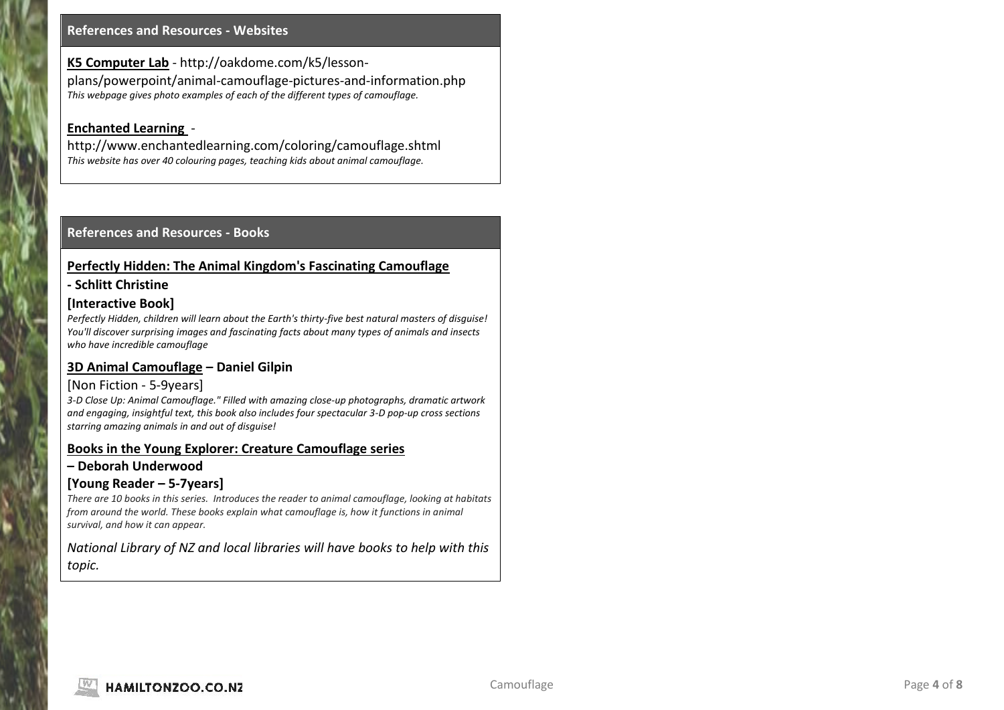#### **References and Resources - Websites**

**K5 Computer Lab** - http://oakdome.com/k5/lessonplans/powerpoint/animal-camouflage-pictures-and-information.php *This webpage gives photo examples of each of the different types of camouflage.*

#### **Enchanted Learning** -

http://www.enchantedlearning.com/coloring/camouflage.shtml *This website has over 40 colouring pages, teaching kids about animal camouflage.*

#### **References and Resources - Books**

#### **Perfectly Hidden: The Animal Kingdom's Fascinating Camouflage**

#### **- Schlitt Christine**

#### **[Interactive Book]**

*Perfectly Hidden, children will learn about the Earth's thirty-five best natural masters of disguise! You'll discover surprising images and fascinating facts about many types of animals and insects who have incredible camouflage*

#### **3D Animal Camouflage – Daniel Gilpin**

#### [Non Fiction - 5-9years]

*3-D Close Up: Animal Camouflage." Filled with amazing close-up photographs, dramatic artwork and engaging, insightful text, this book also includes four spectacular 3-D pop-up cross sections starring amazing animals in and out of disguise!* 

#### **Books in the Young Explorer: Creature Camouflage series**

#### **– Deborah Underwood**

#### **[Young Reader – 5-7years]**

*There are 10 books in this series. Introduces the reader to animal camouflage, looking at habitats from around the world. These books explain what camouflage is, how it functions in animal survival, and how it can appear.*

*National Library of NZ and local libraries will have books to help with this topic.*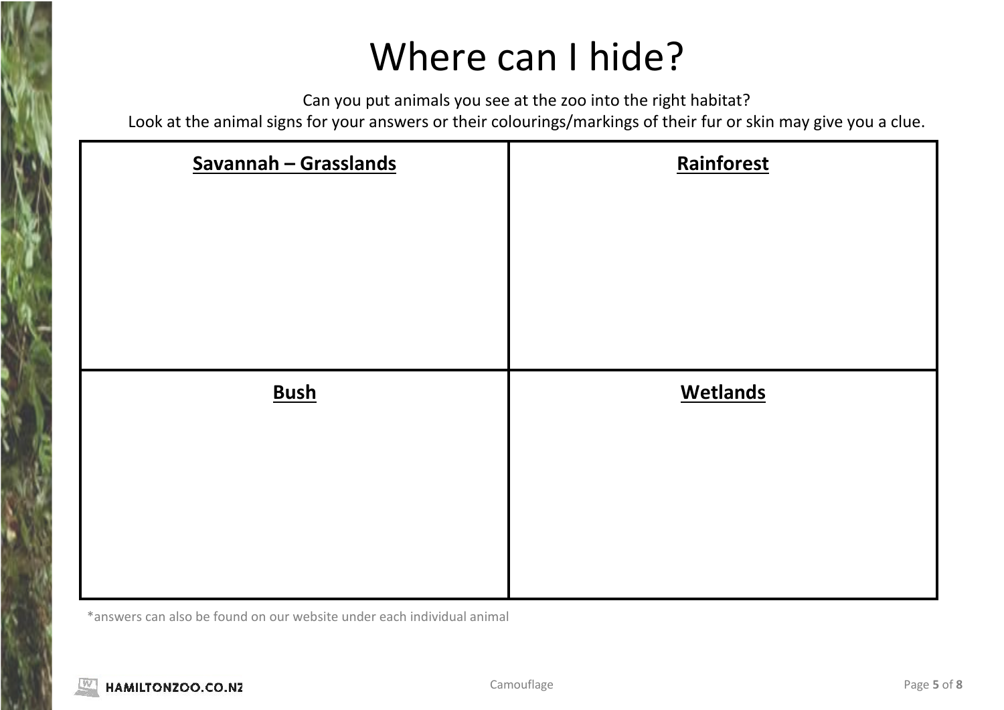# Where can I hide?

Can you put animals you see at the zoo into the right habitat?

Look at the animal signs for your answers or their colourings/markings of their fur or skin may give you a clue.

| Savannah - Grasslands | Rainforest      |
|-----------------------|-----------------|
|                       |                 |
|                       |                 |
|                       |                 |
| <b>Bush</b>           | <b>Wetlands</b> |
|                       |                 |
|                       |                 |
|                       |                 |
|                       |                 |

\*answers can also be found on our website under each individual animal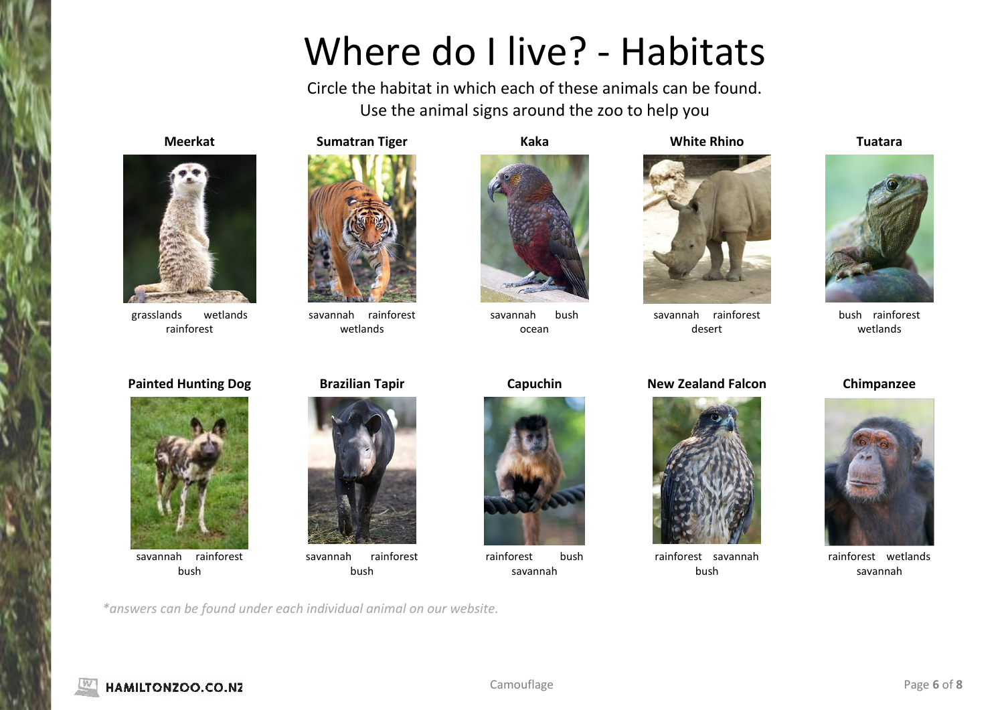# Where do I live? - Habitats

Circle the habitat in which each of these animals can be found. Use the animal signs around the zoo to help you



grasslands wetlands rainforest



savannah rainforest wetlands



savannah bush ocean

### **Meerkat Sumatran Tiger Kaka White Rhino Tuatara**



savannah rainforest desert

### **Painted Hunting Dog Brazilian Tapir Capuchin New Zealand Falcon Chimpanzee**



rainforest savannah bush



bush rainforest wetlands



rainforest wetlands savannah



savannah rainforest bush





savannah rainforest bush

*\*answers can be found under each individual animal on our website.*



rainforest bush savannah

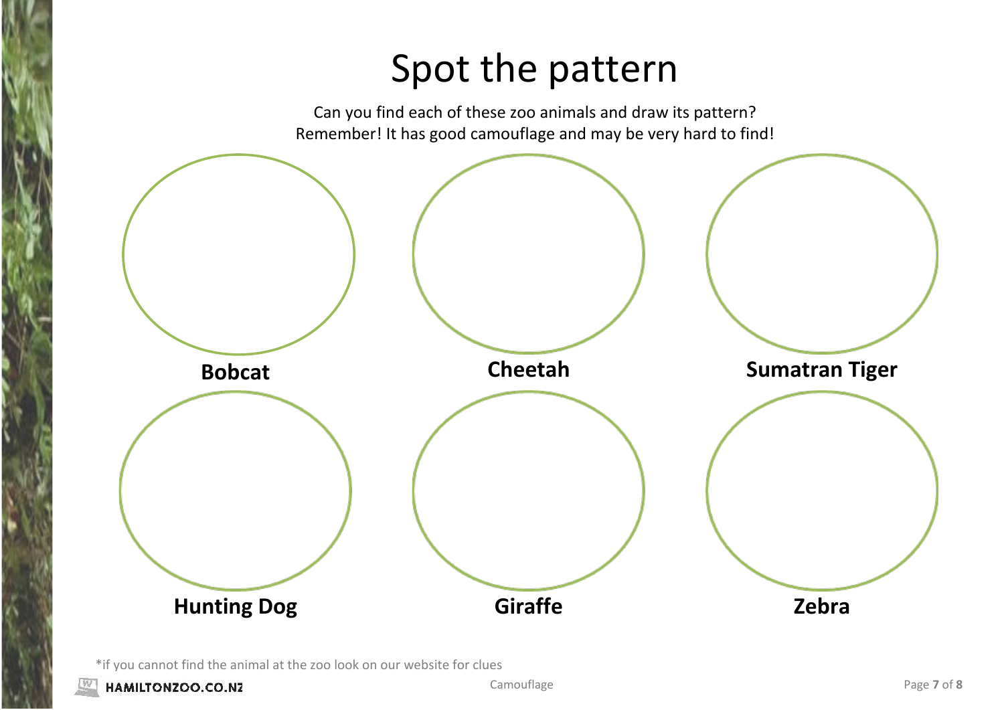# Spot the pattern

Can you find each of these zoo animals and draw its pattern? Remember! It has good camouflage and may be very hard to find!



\*if you cannot find the animal at the zoo look on our website for clues

HAMILTONZOO.CO.NZ

**Camouflage Page 7** of **8**